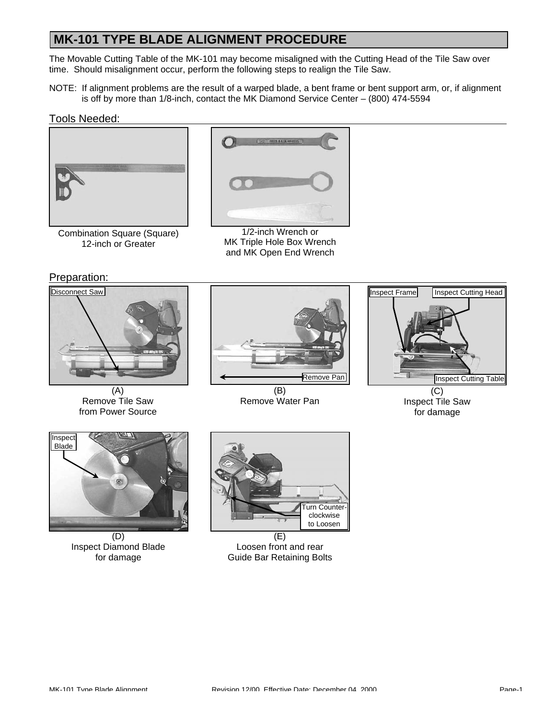### **MK-101 TYPE BLADE ALIGNMENT PROCEDURE**

The Movable Cutting Table of the MK-101 may become misaligned with the Cutting Head of the Tile Saw over time. Should misalignment occur, perform the following steps to realign the Tile Saw.

NOTE: If alignment problems are the result of a warped blade, a bent frame or bent support arm, or, if alignment is off by more than 1/8-inch, contact the MK Diamond Service Center – (800) 474-5594

#### Tools Needed:



Combination Square (Square) 12-inch or Greater



1/2-inch Wrench or MK Triple Hole Box Wrench and MK Open End Wrench

Preparation:



(A) Remove Tile Saw from Power Source



(B) Remove Water Pan



Inspect Tile Saw for damage



(D) Inspect Diamond Blade for damage



(E) Loosen front and rear Guide Bar Retaining Bolts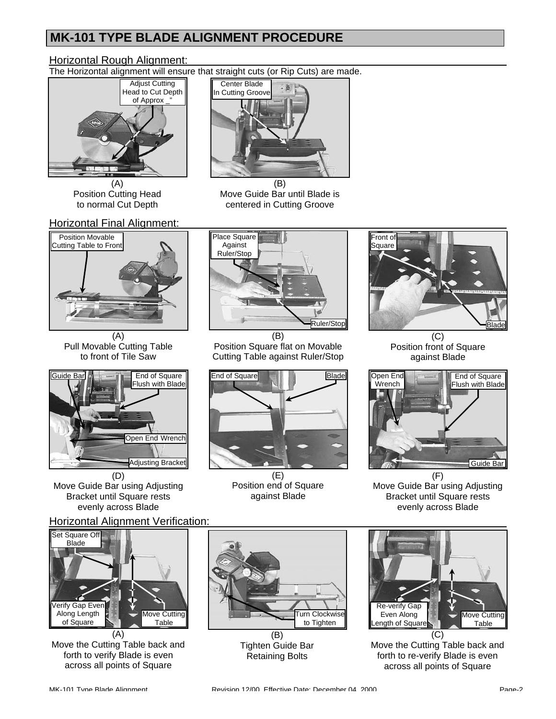# **MK-101 TYPE BLADE ALIGNMENT PROCEDURE**

### **Horizontal Rough Alignment:**

The Horizontal alignment will ensure that straight cuts (or Rip Cuts) are made.



(A) Position Cutting Head to normal Cut Depth

#### **Horizontal Final Alignment:**



(A) Pull Movable Cutting Table to front of Tile Saw



Move Guide Bar using Adjusting Bracket until Square rests evenly across Blade

### Horizontal Alignment Verification:



(A) Move the Cutting Table back and forth to verify Blade is even across all points of Square



(B) Move Guide Bar until Blade is centered in Cutting Groove



(B) Position Square flat on Movable Cutting Table against Ruler/Stop



(E) Position end of Square against Blade



(C) Position front of Square against Blade



Move Guide Bar using Adjusting Bracket until Square rests evenly across Blade



(B) Tighten Guide Bar Retaining Bolts



Move the Cutting Table back and forth to re-verify Blade is even across all points of Square